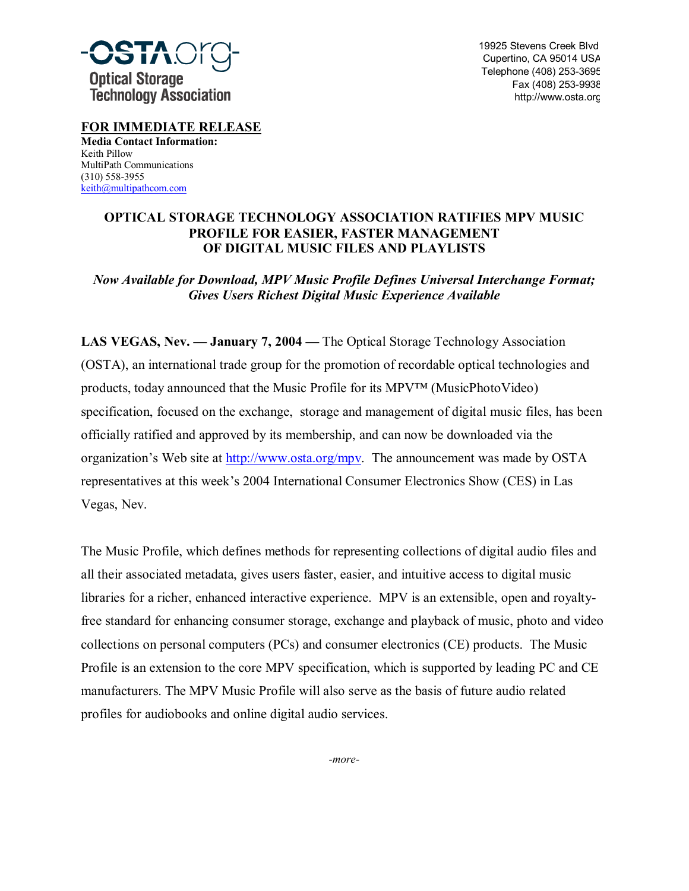

19925 Stevens Creek Blvd Cupertino, CA 95014 USA Telephone (408) 253-3695 Fax (408) 253-9938 http://www.osta.org

**FOR IMMEDIATE RELEASE Media Contact Information:** Keith Pillow MultiPath Communications (310) 558-3955 keith@multipathcom.com

## **OPTICAL STORAGE TECHNOLOGY ASSOCIATION RATIFIES MPV MUSIC PROFILE FOR EASIER, FASTER MANAGEMENT OF DIGITAL MUSIC FILES AND PLAYLISTS**

## *Now Available for Download, MPV Music Profile Defines Universal Interchange Format; Gives Users Richest Digital Music Experience Available*

**LAS VEGAS, Nev. — January 7, 2004 — The Optical Storage Technology Association** (OSTA), an international trade group for the promotion of recordable optical technologies and products, today announced that the Music Profile for its MPV<sup>TM</sup> (MusicPhotoVideo) specification, focused on the exchange, storage and management of digital music files, has been officially ratified and approved by its membership, and can now be downloaded via the organization's Web site at http://www.osta.org/mpv. The announcement was made by OSTA representatives at this week's 2004 International Consumer Electronics Show (CES) in Las Vegas, Nev.

The Music Profile, which defines methods for representing collections of digital audio files and all their associated metadata, gives users faster, easier, and intuitive access to digital music libraries for a richer, enhanced interactive experience. MPV is an extensible, open and royaltyfree standard for enhancing consumer storage, exchange and playback of music, photo and video collections on personal computers (PCs) and consumer electronics (CE) products. The Music Profile is an extension to the core MPV specification, which is supported by leading PC and CE manufacturers. The MPV Music Profile will also serve as the basis of future audio related profiles for audiobooks and online digital audio services.

*-more-*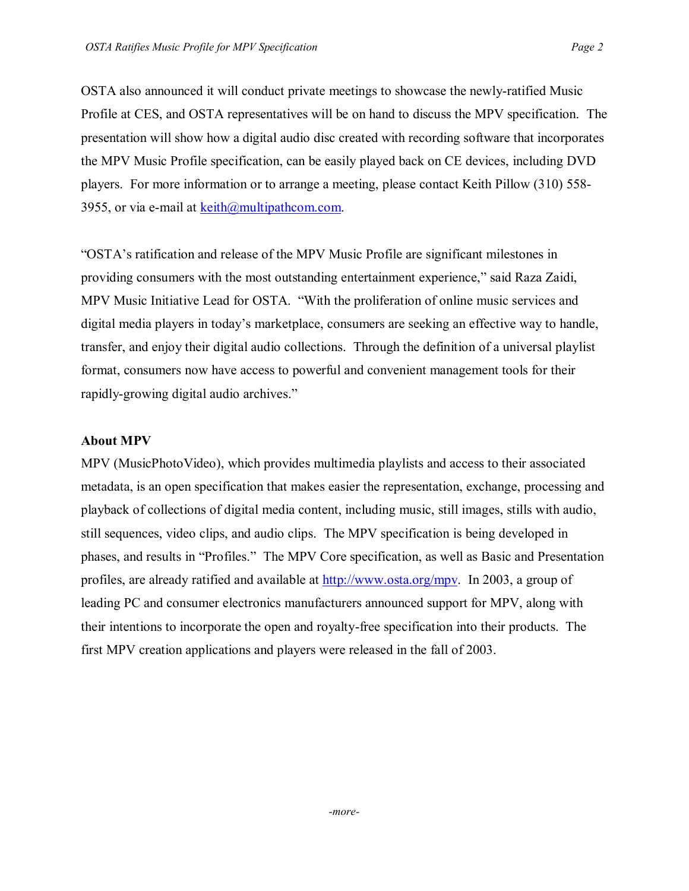OSTA also announced it will conduct private meetings to showcase the newly-ratified Music Profile at CES, and OSTA representatives will be on hand to discuss the MPV specification. The presentation will show how a digital audio disc created with recording software that incorporates the MPV Music Profile specification, can be easily played back on CE devices, including DVD players. For more information or to arrange a meeting, please contact Keith Pillow (310) 558- 3955, or via e-mail at  $k \in \mathbb{R}$  multipathcom.com.

ìOSTAís ratification and release of the MPV Music Profile are significant milestones in providing consumers with the most outstanding entertainment experience," said Raza Zaidi, MPV Music Initiative Lead for OSTA. "With the proliferation of online music services and digital media players in today's marketplace, consumers are seeking an effective way to handle, transfer, and enjoy their digital audio collections. Through the definition of a universal playlist format, consumers now have access to powerful and convenient management tools for their rapidly-growing digital audio archives."

## **About MPV**

MPV (MusicPhotoVideo), which provides multimedia playlists and access to their associated metadata, is an open specification that makes easier the representation, exchange, processing and playback of collections of digital media content, including music, still images, stills with audio, still sequences, video clips, and audio clips. The MPV specification is being developed in phases, and results in "Profiles." The MPV Core specification, as well as Basic and Presentation profiles, are already ratified and available at http://www.osta.org/mpv. In 2003, a group of leading PC and consumer electronics manufacturers announced support for MPV, along with their intentions to incorporate the open and royalty-free specification into their products. The first MPV creation applications and players were released in the fall of 2003.